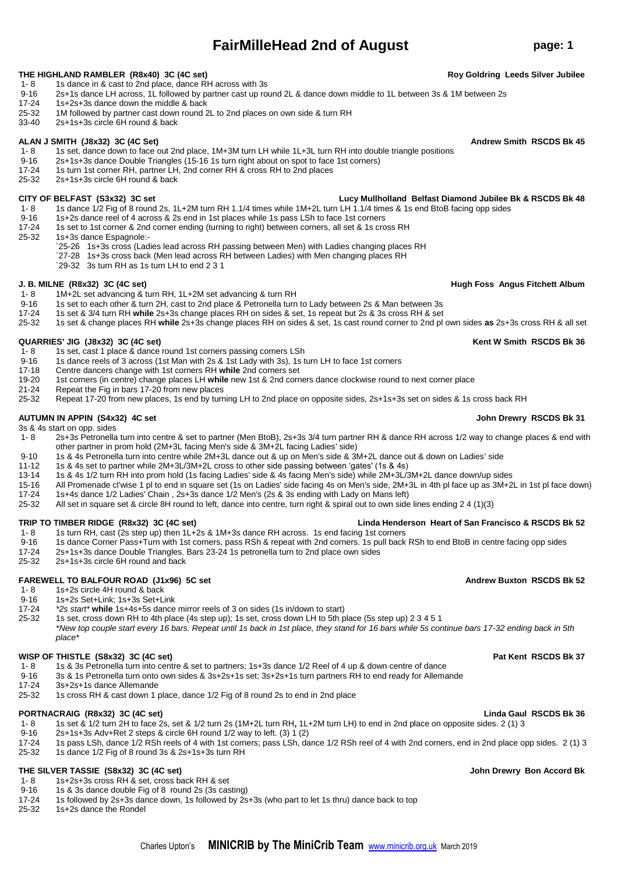# **FairMilleHead 2nd of August page: 1**

- **THE HIGHLAND RAMBLER (R8x40) 3C (4C set) Roy Goldring Leeds Silver Jubilee**
- 1- 8 1s dance in & cast to 2nd place, dance RH across with 3s<br>9-16 2s+1s dance LH across. 1L followed by partner cast up ro
- 2s+1s dance LH across, 1L followed by partner cast up round 2L & dance down middle to 1L between 3s & 1M between 2s
- 17-24 1s+2s+3s dance down the middle & back
- 25-32 1M followed by partner cast down round 2L to 2nd places on own side & turn RH<br>33-40 25+15+3s circle 6H round & back
- 33-40 2s+1s+3s circle 6H round & back

## ALAN J SMITH (J8x32) 3C (4C Set) **Andrew Smith RSCDS Bk 45**

- 1- 8 1s set, dance down to face out 2nd place, 1M+3M turn LH while 1L+3L turn RH into double triangle positions<br>9-16 2s+1s+3s dance Double Triangles (15-16 1s turn right about on spot to face 1st corners)
- 2s+1s+3s dance Double Triangles (15-16 1s turn right about on spot to face 1st corners)
- 17-24 1s turn 1st corner RH, partner LH, 2nd corner RH & cross RH to 2nd places
- 25-32 2s+1s+3s circle 6H round & back

- 1- 8 1s dance 1/2 Fig of 8 round 2s, 1L+2M turn RH 1.1/4 times while 1M+2L turn LH 1.1/4 times & 1s end BtoB facing opp sides
- 
- 9-16 1s+2s dance reel of 4 across & 2s end in 1st places while 1s pass LSh to face 1st corners<br>17-24 1s set to 1st corner & 2nd corner ending (turning to right) between corners, all set & 1s cro 1s set to 1st corner & 2nd corner ending (turning to right) between corners, all set & 1s cross RH
- 25-32 1s+3s dance Espagnole:-
	- `25-26 1s+3s cross (Ladies lead across RH passing between Men) with Ladies changing places RH
	- `27-28 1s+3s cross back (Men lead across RH between Ladies) with Men changing places RH
	- `29-32 3s turn RH as 1s turn LH to end 2 3 1

### **J. B. MILNE (R8x32) 3C (4C set) Hugh Foss Angus Fitchett Album**

- 1- 8 1M+2L set advancing & turn RH, 1L+2M set advancing & turn RH<br>9-16 1s set to each other & turn 2H cast to 2nd place & Petronella turn
- 9-16 1s set to each other & turn 2H, cast to 2nd place & Petronella turn to Lady between 2s & Man between 3s
- 17-24 1s set & 3/4 turn RH **while** 2s+3s change places RH on sides & set, 1s repeat but 2s & 3s cross RH & set
	- 25-32 1s set & change places RH **while** 2s+3s change places RH on sides & set, 1s cast round corner to 2nd pl own sides **as** 2s+3s cross RH & all set

## **QUARRIES' JIG (J8x32) 3C (4C set) Kent W Smith RSCDS Bk 36**

- 
- 1- 8 1s set, cast 1 place & dance round 1st corners passing corners LSh<br>9-16 1s dance reels of 3 across (1st Man with 2s & 1st Lady with 3s). 1s t 9-16 1s dance reels of 3 across (1st Man with 2s & 1st Lady with 3s), 1s turn LH to face 1st corners<br>17-18 Centre dancers change with 1st corners RH while 2nd corners set
- 17-18 Centre dancers change with 1st corners RH **while** 2nd corners set
- 19-20 1st corners (in centre) change places LH **while** new 1st & 2nd corners dance clockwise round to next corner place
- 21-24 Repeat the Fig in bars 17-20 from new places<br>25-32 Repeat 17-20 from new places, 1s end by turn
- 25-32 Repeat 17-20 from new places, 1s end by turning LH to 2nd place on opposite sides, 2s+1s+3s set on sides & 1s cross back RH

### AUTUMN IN APPIN (S4x32) 4C set **John Drewry RSCDS Bk 31**

3s & 4s start on opp. sides<br>1-8 2s+3s Petronella

- 1- 8 2s+3s Petronella turn into centre & set to partner (Men BtoB), 2s+3s 3/4 turn partner RH & dance RH across 1/2 way to change places & end with other partner in prom hold (2M+3L facing Men's side & 3M+2L facing Ladies' side)
- 9-10 1s & 4s Petronella turn into centre while 2M+3L dance out & up on Men's side & 3M+2L dance out & down on Ladies' side
- 11-12 1s & 4s set to partner while 2M+3L/3M+2L cross to other side passing between 'gates' (1s & 4s)
- 13-14 1s & 4s 1/2 turn RH into prom hold (1s facing Ladies' side & 4s facing Men's side) while 2M+3L/3M+2L dance down/up sides
- 15-16 All Promenade cl'wise 1 pl to end in square set (1s on Ladies' side facing 4s on Men's side, 2M+3L in 4th pl face up as 3M+2L in 1st pl face down)
- 17-24 1s+4s dance 1/2 Ladies' Chain, 2s+3s dance 1/2 Men's (2s & 3s ending with Lady on Mans left)<br>25-32 All set in square set & circle 8H round to left, dance into centre, turn right & spiral out to own side
- 25-32 All set in square set & circle 8H round to left, dance into centre, turn right & spiral out to own side lines ending 2 4 (1)(3)

## **TRIP TO TIMBER RIDGE (R8x32) 3C (4C set) Linda Henderson Heart of San Francisco & RSCDS Bk 52**

- 1- 8 1s turn RH, cast (2s step up) then 1L+2s & 1M+3s dance RH across. 1s end facing 1st corners<br>9-16 1s dance Corner Pass+Turn with 1st corners, pass RSh & repeat with 2nd corners. 1s pull back
- 9-16 1s dance Corner Pass+Turn with 1st corners, pass RSh & repeat with 2nd corners. 1s pull back RSh to end BtoB in centre facing opp sides
- 17-24 2s+1s+3s dance Double Triangles. Bars 23-24 1s petronella turn to 2nd place own sides
- 2s+1s+3s circle 6H round and back

## **FAREWELL TO BALFOUR ROAD (J1x96) 5C set <b>Andrew Buxton RSCDS Bk 52** Andrew Buxton RSCDS Bk 52

1- 8 1s+2s circle 4H round & back

# 9-16 1s+2s Set+Link; 1s+3s Set+Link<br>17-24 <sup>\*</sup>2s start\* while 1s+4s+5s dance

17-24 *\*2s start\** **while** 1s+4s+5s dance mirror reels of 3 on sides (1s in/down to start)

25-32 1s set, cross down RH to 4th place (4s step up); 1s set, cross down LH to 5th place (5s step up) 2 3 4 5 1 *\*New top couple start every 16 bars. Repeat until 1s back in 1st place, they stand for 16 bars while 5s continue bars 17-32 ending back in 5th place\**

## **WISP OF THISTLE (S8x32) 3C (4C set) Pat Kent RSCDS Bk 37**

- 1- 8 1s & 3s Petronella turn into centre & set to partners; 1s+3s dance 1/2 Reel of 4 up & down centre of dance<br>9-16 3s & 1s Petronella turn onto own sides & 3s+2s+1s set: 3s+2s+1s turn partners RH to end ready for Allema
- 9-16 3s & 1s Petronella turn onto own sides & 3s+2s+1s set; 3s+2s+1s turn partners RH to end ready for Allemande<br>17-24 3s+2s+1s dance Allemande
- 17-24 3s+2s+1s dance Allemande
- 25-32 1s cross RH & cast down 1 place, dance 1/2 Fig of 8 round 2s to end in 2nd place

## **PORTNACRAIG (R8x32) 3C (4C set) Linda Gaul RSCDS Bk 36**

- 1- 8 1s set & 1/2 turn 2H to face 2s, set & 1/2 turn 2s (1M+2L turn RH**,** 1L+2M turn LH) to end in 2nd place on opposite sides. 2 (1) 3
- 9-16 2s+1s+3s Adv+Ret 2 steps & circle 6H round 1/2 way to left. (3) 1 (2)<br>17-24 1s pass LSh, dance 1/2 RSh reels of 4 with 1st corners: pass LSh, da
- 17-24 1s pass LSh, dance 1/2 RSh reels of 4 with 1st corners; pass LSh, dance 1/2 RSh reel of 4 with 2nd corners, end in 2nd place opp sides. 2 (1) 3<br>25-32 1s dance 1/2 Fig of 8 round 3s & 2s+1s+3s turn RH 25-32 1s dance 1/2 Fig of 8 round 3s & 2s+1s+3s turn RH
- 

## **THE SILVER TASSIE (S8x32) 3C (4C set) John Drewry Bon Accord Bk**

- 1- 8 1s+2s+3s cross RH & set, cross back RH & set<br>9-16 1s & 3s dance double Fig of 8 round 2s (3s cas
- 9-16 1s & 3s dance double Fig of 8 round 2s (3s casting)<br>17-24 1s followed by 2s+3s dance down, 1s followed by 2s
- 17-24 1s followed by 2s+3s dance down, 1s followed by 2s+3s (who part to let 1s thru) dance back to top 25-32<br>25-32 1s+2s dance the Rondel
- 1s+2s dance the Rondel

## **CITY OF BELFAST (S3x32) 3C set Lucy Mullholland Belfast Diamond Jubilee Bk & RSCDS Bk 48**